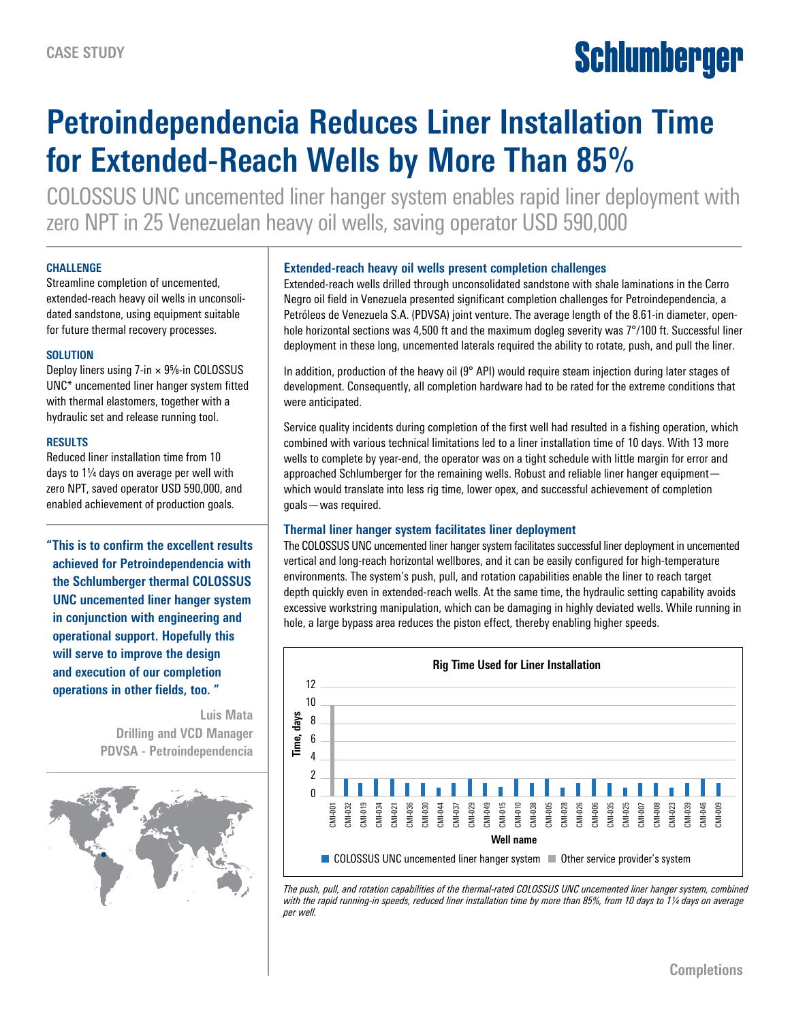# Schlumberger

# **Petroindependencia Reduces Liner Installation Time for Extended-Reach Wells by More Than 85%**

COLOSSUS UNC uncemented liner hanger system enables rapid liner deployment with zero NPT in 25 Venezuelan heavy oil wells, saving operator USD 590,000

#### **CHALLENGE**

Streamline completion of uncemented, extended-reach heavy oil wells in unconsolidated sandstone, using equipment suitable for future thermal recovery processes.

#### **SOLUTION**

Deploy liners using  $7$ -in  $\times$   $9\%$ -in COLOSSUS UNC\* uncemented liner hanger system fitted with thermal elastomers, together with a hydraulic set and release running tool.

#### **RESULTS**

Reduced liner installation time from 10 days to  $1/4$  days on average per well with zero NPT, saved operator USD 590,000, and enabled achievement of production goals.

**"This is to confirm the excellent results achieved for Petroindependencia with the Schlumberger thermal COLOSSUS UNC uncemented liner hanger system in conjunction with engineering and operational support. Hopefully this will serve to improve the design and execution of our completion operations in other fields, too. "**

> **Luis Mata Drilling and VCD Manager PDVSA - Petroindependencia**



# **Extended-reach heavy oil wells present completion challenges**

Extended-reach wells drilled through unconsolidated sandstone with shale laminations in the Cerro Negro oil field in Venezuela presented significant completion challenges for Petroindependencia, a Petróleos de Venezuela S.A. (PDVSA) joint venture. The average length of the 8.61-in diameter, openhole horizontal sections was 4,500 ft and the maximum dogleg severity was 7°/100 ft. Successful liner deployment in these long, uncemented laterals required the ability to rotate, push, and pull the liner.

In addition, production of the heavy oil (9° API) would require steam injection during later stages of development. Consequently, all completion hardware had to be rated for the extreme conditions that were anticipated.

Service quality incidents during completion of the first well had resulted in a fishing operation, which combined with various technical limitations led to a liner installation time of 10 days. With 13 more wells to complete by year-end, the operator was on a tight schedule with little margin for error and approached Schlumberger for the remaining wells. Robust and reliable liner hanger equipment which would translate into less rig time, lower opex, and successful achievement of completion goals—was required.

## **Thermal liner hanger system facilitates liner deployment**

The COLOSSUS UNC uncemented liner hanger system facilitates successful liner deployment in uncemented vertical and long-reach horizontal wellbores, and it can be easily configured for high-temperature environments. The system's push, pull, and rotation capabilities enable the liner to reach target depth quickly even in extended-reach wells. At the same time, the hydraulic setting capability avoids excessive workstring manipulation, which can be damaging in highly deviated wells. While running in hole, a large bypass area reduces the piston effect, thereby enabling higher speeds.



*The push, pull, and rotation capabilities of the thermal-rated COLOSSUS UNC uncemented liner hanger system, combined with the rapid running-in speeds, reduced liner installation time by more than 85%, from 10 days to 11/4 days on average per well.*